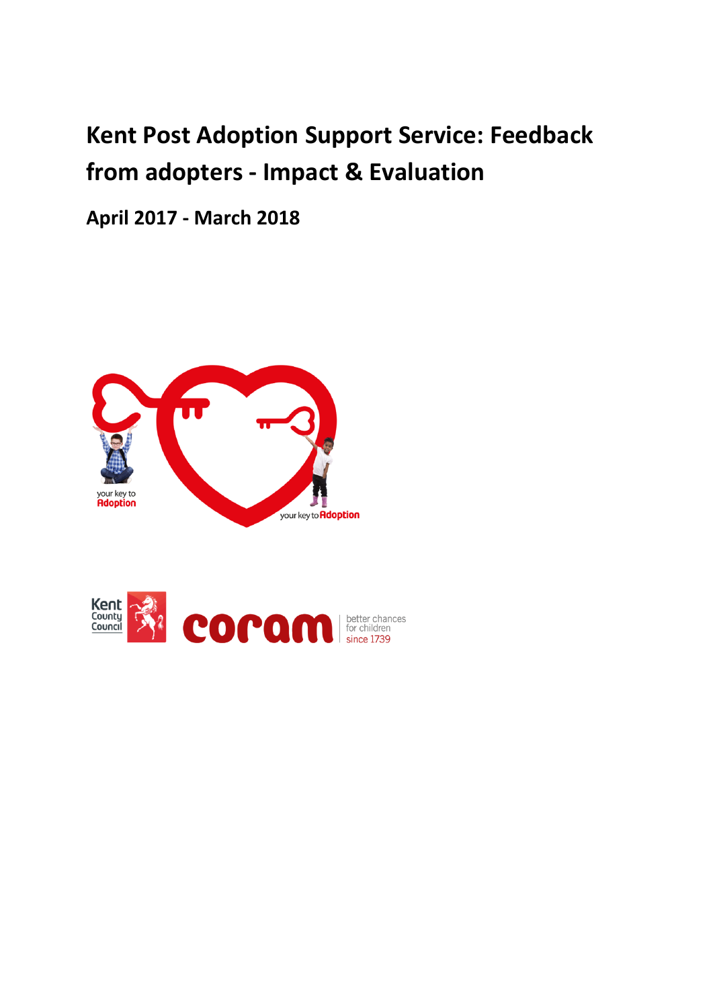# **Kent Post Adoption Support Service: Feedback from adopters - Impact & Evaluation**

**April 2017 - March 2018**



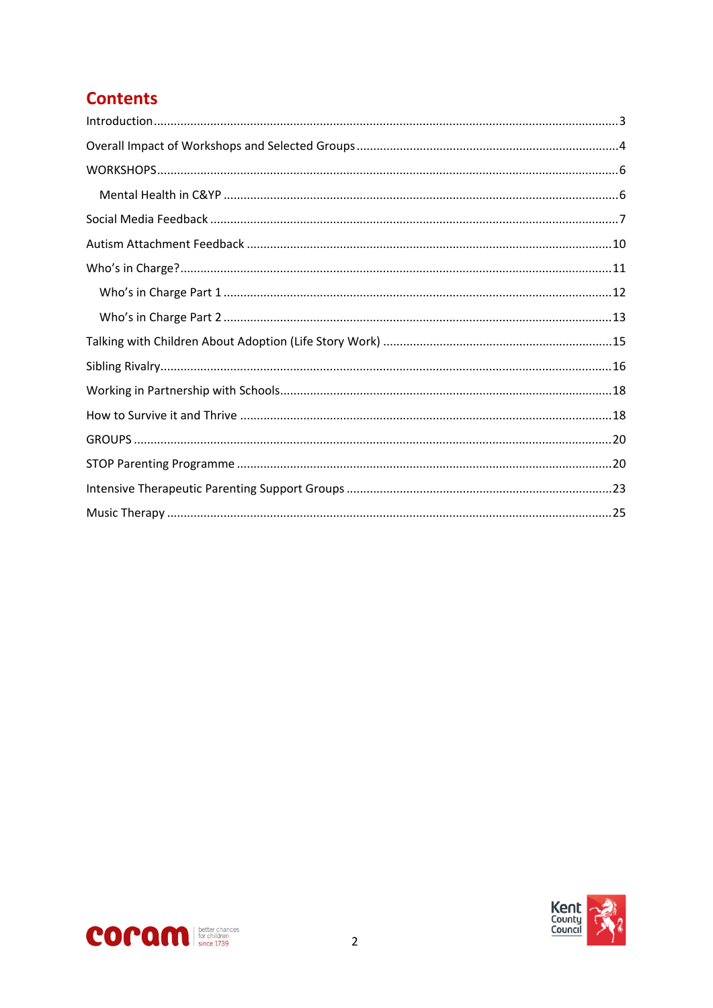# **Contents**



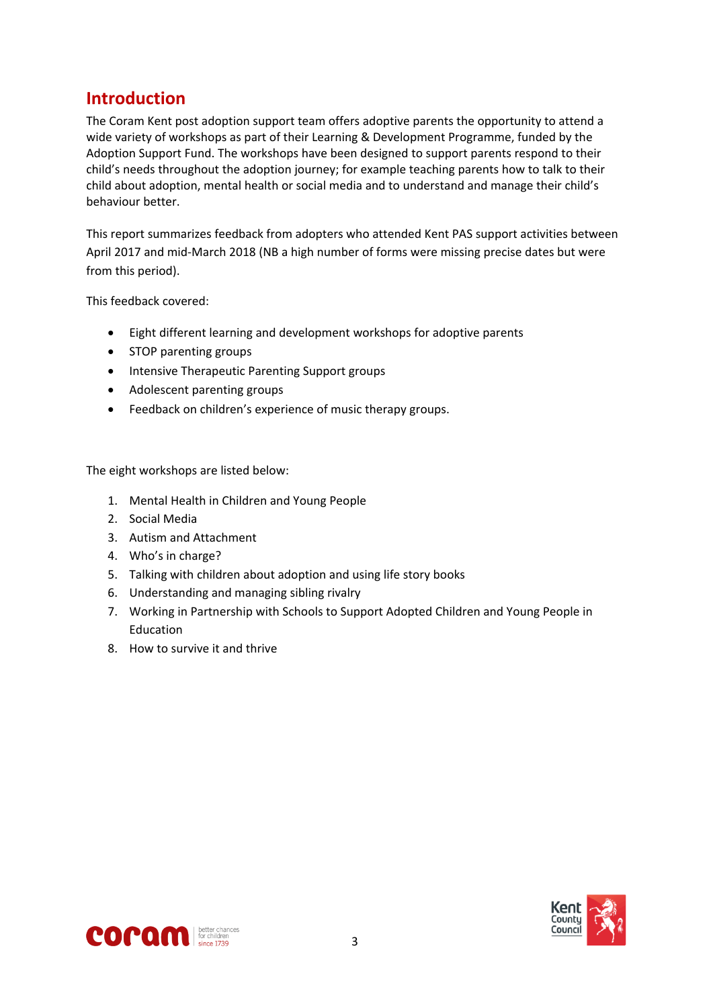## <span id="page-2-0"></span>**Introduction**

The Coram Kent post adoption support team offers adoptive parents the opportunity to attend a wide variety of workshops as part of their Learning & Development Programme, funded by the Adoption Support Fund. The workshops have been designed to support parents respond to their child's needs throughout the adoption journey; for example teaching parents how to talk to their child about adoption, mental health or social media and to understand and manage their child's behaviour better.

This report summarizes feedback from adopters who attended Kent PAS support activities between April 2017 and mid-March 2018 (NB a high number of forms were missing precise dates but were from this period).

This feedback covered:

- Eight different learning and development workshops for adoptive parents
- STOP parenting groups
- Intensive Therapeutic Parenting Support groups
- Adolescent parenting groups
- Feedback on children's experience of music therapy groups.

The eight workshops are listed below:

- 1. Mental Health in Children and Young People
- 2. Social Media
- 3. Autism and Attachment
- 4. Who's in charge?
- 5. Talking with children about adoption and using life story books
- 6. Understanding and managing sibling rivalry
- 7. Working in Partnership with Schools to Support Adopted Children and Young People in Education
- 8. How to survive it and thrive



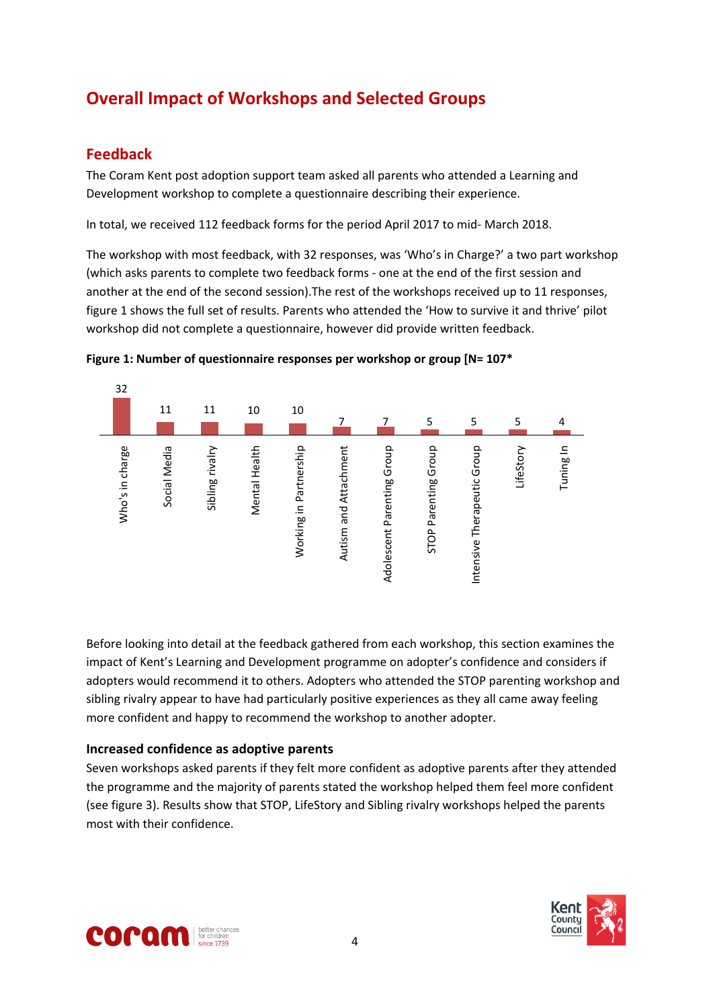# <span id="page-3-0"></span>**Overall Impact of Workshops and Selected Groups**

### **Feedback**

The Coram Kent post adoption support team asked all parents who attended a Learning and Development workshop to complete a questionnaire describing their experience.

In total, we received 112 feedback forms for the period April 2017 to mid- March 2018.

The workshop with most feedback, with 32 responses, was 'Who's in Charge?' a two part workshop (which asks parents to complete two feedback forms - one at the end of the first session and another at the end of the second session).The rest of the workshops received up to 11 responses, figure 1 shows the full set of results. Parents who attended the 'How to survive it and thrive' pilot workshop did not complete a questionnaire, however did provide written feedback.



**Figure 1: Number of questionnaire responses per workshop or group [N= 107\***

Before looking into detail at the feedback gathered from each workshop, this section examines the impact of Kent's Learning and Development programme on adopter's confidence and considers if adopters would recommend it to others. Adopters who attended the STOP parenting workshop and sibling rivalry appear to have had particularly positive experiences as they all came away feeling more confident and happy to recommend the workshop to another adopter.

#### **Increased confidence as adoptive parents**

Seven workshops asked parents if they felt more confident as adoptive parents after they attended the programme and the majority of parents stated the workshop helped them feel more confident (see figure 3). Results show that STOP, LifeStory and Sibling rivalry workshops helped the parents most with their confidence.



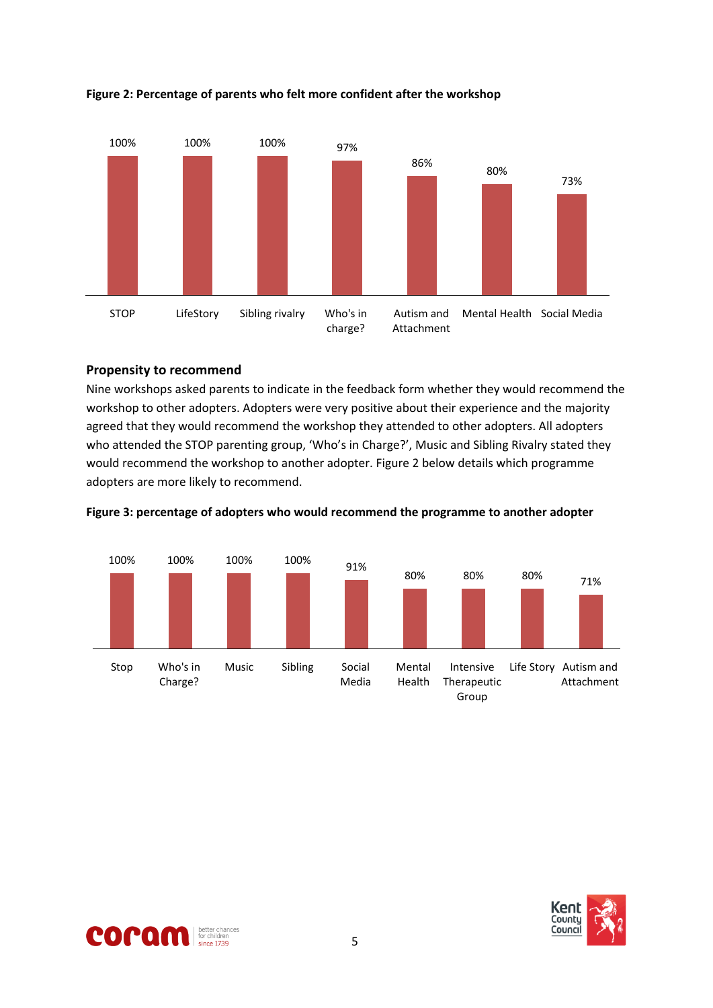

**Figure 2: Percentage of parents who felt more confident after the workshop**

#### **Propensity to recommend**

Nine workshops asked parents to indicate in the feedback form whether they would recommend the workshop to other adopters. Adopters were very positive about their experience and the majority agreed that they would recommend the workshop they attended to other adopters. All adopters who attended the STOP parenting group, 'Who's in Charge?', Music and Sibling Rivalry stated they would recommend the workshop to another adopter. Figure 2 below details which programme adopters are more likely to recommend.



**Figure 3: percentage of adopters who would recommend the programme to another adopter**

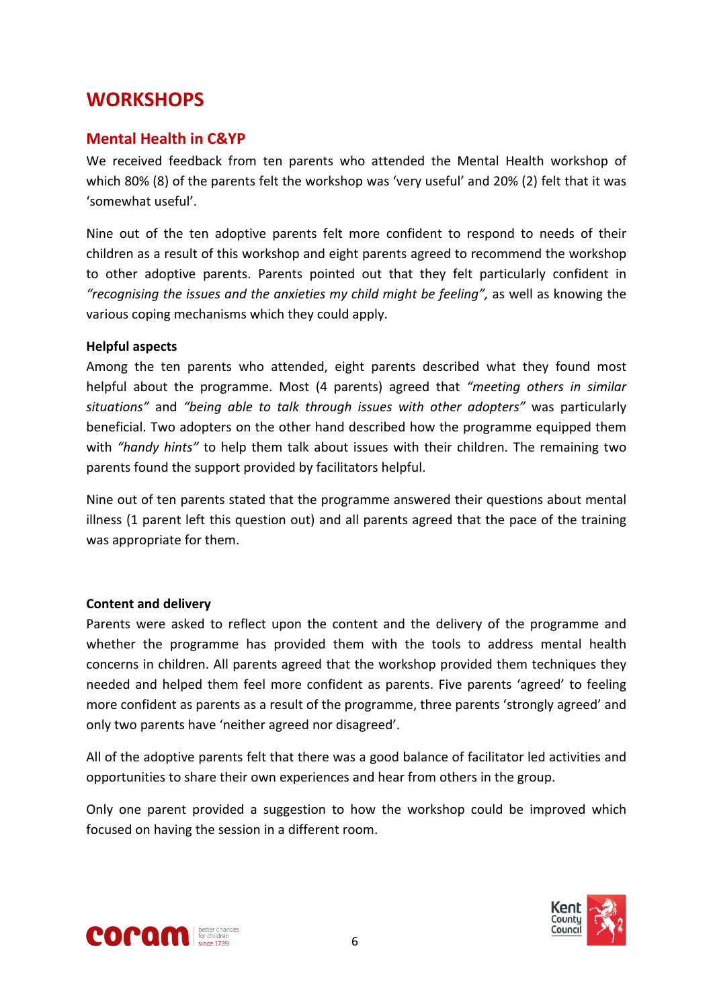# <span id="page-5-0"></span>**WORKSHOPS**

#### <span id="page-5-1"></span>**Mental Health in C&YP**

We received feedback from ten parents who attended the Mental Health workshop of which 80% (8) of the parents felt the workshop was 'very useful' and 20% (2) felt that it was 'somewhat useful'.

Nine out of the ten adoptive parents felt more confident to respond to needs of their children as a result of this workshop and eight parents agreed to recommend the workshop to other adoptive parents. Parents pointed out that they felt particularly confident in *"recognising the issues and the anxieties my child might be feeling",* as well as knowing the various coping mechanisms which they could apply.

#### **Helpful aspects**

Among the ten parents who attended, eight parents described what they found most helpful about the programme. Most (4 parents) agreed that *"meeting others in similar situations"* and *"being able to talk through issues with other adopters"* was particularly beneficial. Two adopters on the other hand described how the programme equipped them with *"handy hints"* to help them talk about issues with their children. The remaining two parents found the support provided by facilitators helpful.

Nine out of ten parents stated that the programme answered their questions about mental illness (1 parent left this question out) and all parents agreed that the pace of the training was appropriate for them.

#### **Content and delivery**

Parents were asked to reflect upon the content and the delivery of the programme and whether the programme has provided them with the tools to address mental health concerns in children. All parents agreed that the workshop provided them techniques they needed and helped them feel more confident as parents. Five parents 'agreed' to feeling more confident as parents as a result of the programme, three parents 'strongly agreed' and only two parents have 'neither agreed nor disagreed'.

All of the adoptive parents felt that there was a good balance of facilitator led activities and opportunities to share their own experiences and hear from others in the group.

Only one parent provided a suggestion to how the workshop could be improved which focused on having the session in a different room.



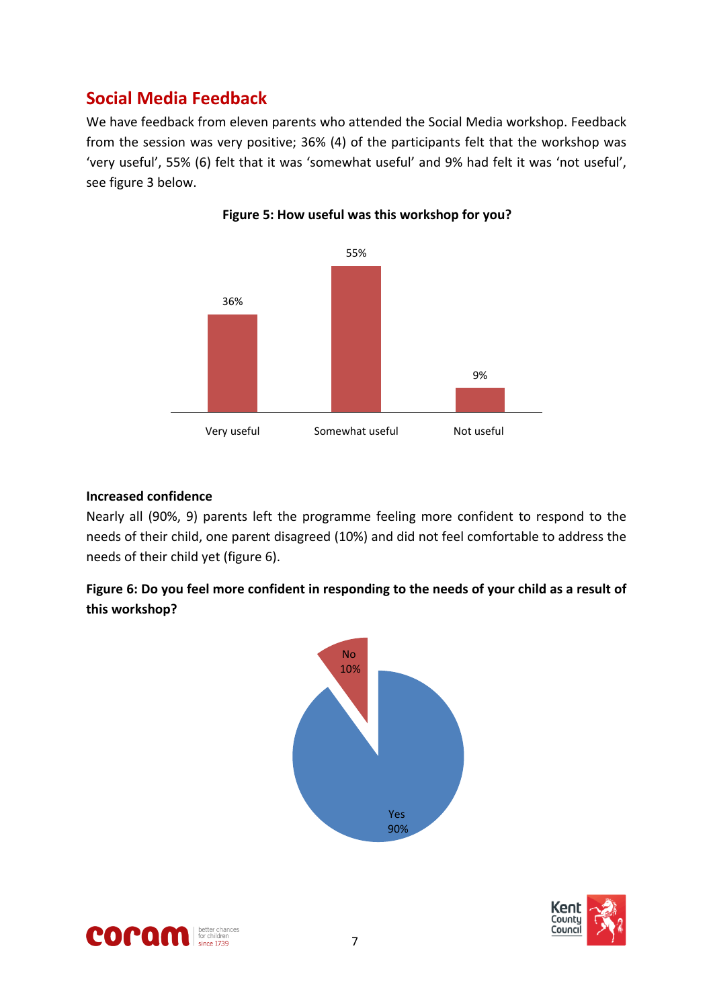# <span id="page-6-0"></span>**Social Media Feedback**

We have feedback from eleven parents who attended the Social Media workshop. Feedback from the session was very positive; 36% (4) of the participants felt that the workshop was 'very useful', 55% (6) felt that it was 'somewhat useful' and 9% had felt it was 'not useful', see figure 3 below.





#### **Increased confidence**

Nearly all (90%, 9) parents left the programme feeling more confident to respond to the needs of their child, one parent disagreed (10%) and did not feel comfortable to address the needs of their child yet (figure 6).

Figure 6: Do you feel more confident in responding to the needs of your child as a result of **this workshop?**





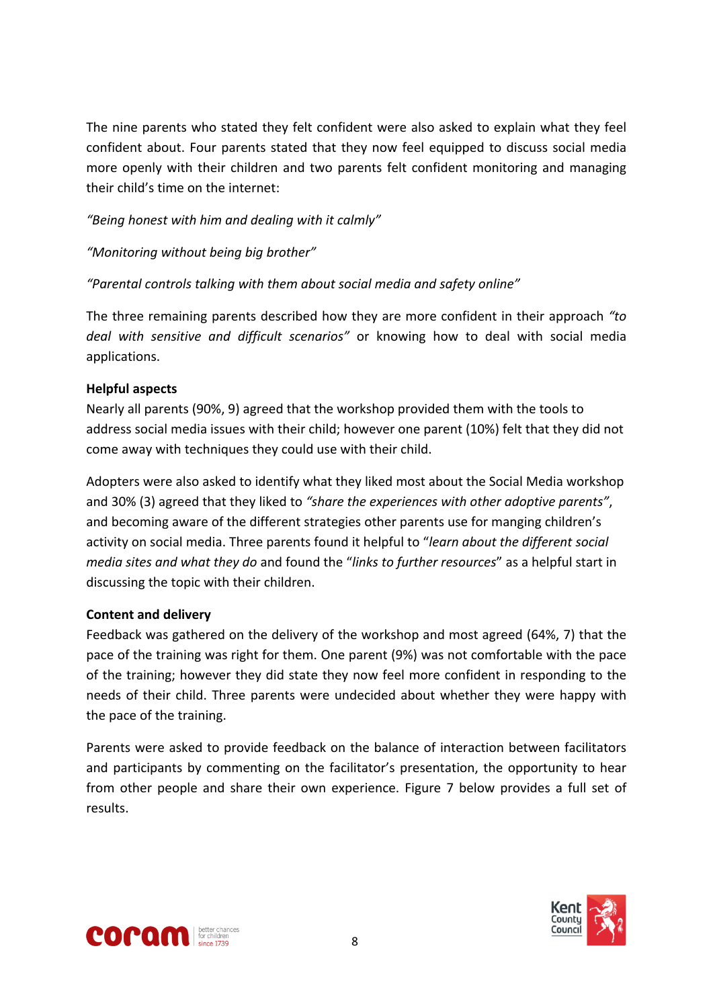The nine parents who stated they felt confident were also asked to explain what they feel confident about. Four parents stated that they now feel equipped to discuss social media more openly with their children and two parents felt confident monitoring and managing their child's time on the internet:

#### *"Being honest with him and dealing with it calmly"*

#### *"Monitoring without being big brother"*

#### *"Parental controls talking with them about social media and safety online"*

The three remaining parents described how they are more confident in their approach *"to deal with sensitive and difficult scenarios"* or knowing how to deal with social media applications.

#### **Helpful aspects**

Nearly all parents (90%, 9) agreed that the workshop provided them with the tools to address social media issues with their child; however one parent (10%) felt that they did not come away with techniques they could use with their child.

Adopters were also asked to identify what they liked most about the Social Media workshop and 30% (3) agreed that they liked to *"share the experiences with other adoptive parents"*, and becoming aware of the different strategies other parents use for manging children's activity on social media. Three parents found it helpful to "*learn about the different social media sites and what they do* and found the "*links to further resources*" as a helpful start in discussing the topic with their children.

#### **Content and delivery**

Feedback was gathered on the delivery of the workshop and most agreed (64%, 7) that the pace of the training was right for them. One parent (9%) was not comfortable with the pace of the training; however they did state they now feel more confident in responding to the needs of their child. Three parents were undecided about whether they were happy with the pace of the training.

Parents were asked to provide feedback on the balance of interaction between facilitators and participants by commenting on the facilitator's presentation, the opportunity to hear from other people and share their own experience. Figure 7 below provides a full set of results.



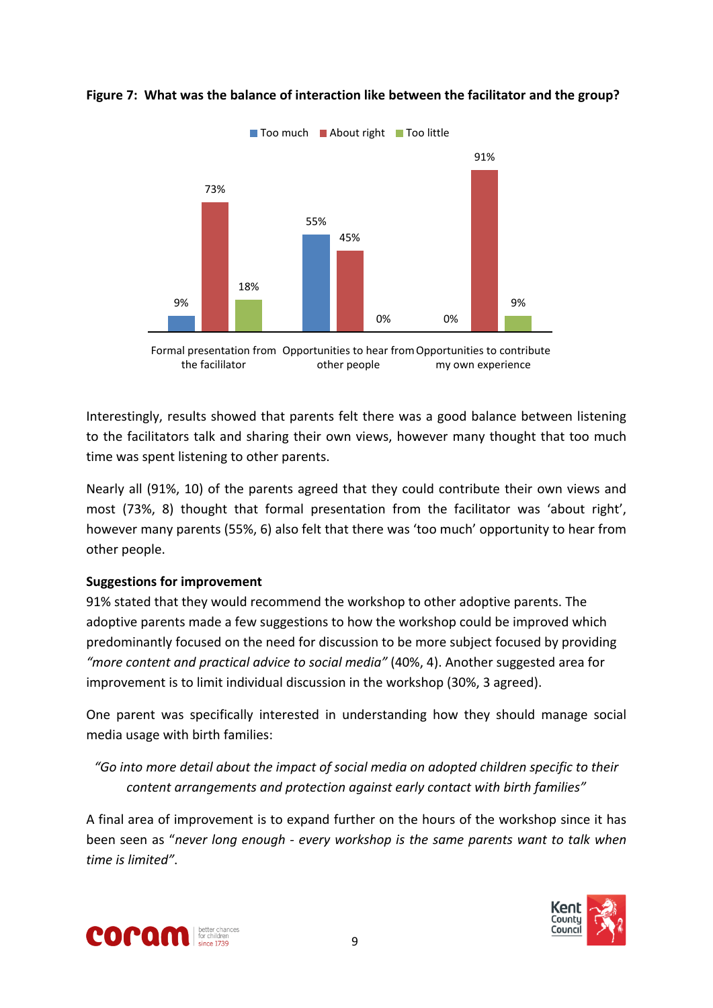

#### **Figure 7: What was the balance of interaction like between the facilitator and the group?**



Interestingly, results showed that parents felt there was a good balance between listening to the facilitators talk and sharing their own views, however many thought that too much time was spent listening to other parents.

Nearly all (91%, 10) of the parents agreed that they could contribute their own views and most (73%, 8) thought that formal presentation from the facilitator was 'about right', however many parents (55%, 6) also felt that there was 'too much' opportunity to hear from other people.

#### **Suggestions for improvement**

91% stated that they would recommend the workshop to other adoptive parents. The adoptive parents made a few suggestions to how the workshop could be improved which predominantly focused on the need for discussion to be more subject focused by providing *"more content and practical advice to social media"* (40%, 4). Another suggested area for improvement is to limit individual discussion in the workshop (30%, 3 agreed).

One parent was specifically interested in understanding how they should manage social media usage with birth families:

*"Go into more detail about the impact of social media on adopted children specific to their content arrangements and protection against early contact with birth families"*

A final area of improvement is to expand further on the hours of the workshop since it has been seen as "*never long enough - every workshop is the same parents want to talk when time is limited"*.



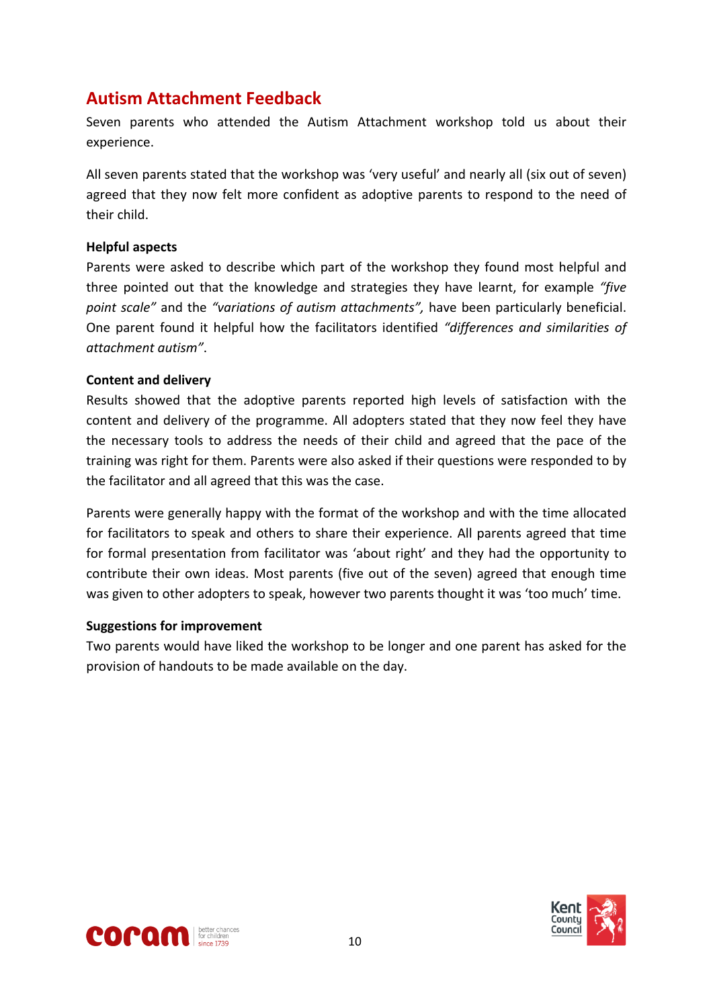## <span id="page-9-0"></span>**Autism Attachment Feedback**

Seven parents who attended the Autism Attachment workshop told us about their experience.

All seven parents stated that the workshop was 'very useful' and nearly all (six out of seven) agreed that they now felt more confident as adoptive parents to respond to the need of their child.

#### **Helpful aspects**

Parents were asked to describe which part of the workshop they found most helpful and three pointed out that the knowledge and strategies they have learnt, for example *"five point scale"* and the *"variations of autism attachments",* have been particularly beneficial. One parent found it helpful how the facilitators identified *"differences and similarities of attachment autism"*.

#### **Content and delivery**

Results showed that the adoptive parents reported high levels of satisfaction with the content and delivery of the programme. All adopters stated that they now feel they have the necessary tools to address the needs of their child and agreed that the pace of the training was right for them. Parents were also asked if their questions were responded to by the facilitator and all agreed that this was the case.

Parents were generally happy with the format of the workshop and with the time allocated for facilitators to speak and others to share their experience. All parents agreed that time for formal presentation from facilitator was 'about right' and they had the opportunity to contribute their own ideas. Most parents (five out of the seven) agreed that enough time was given to other adopters to speak, however two parents thought it was 'too much' time.

#### **Suggestions for improvement**

Two parents would have liked the workshop to be longer and one parent has asked for the provision of handouts to be made available on the day.



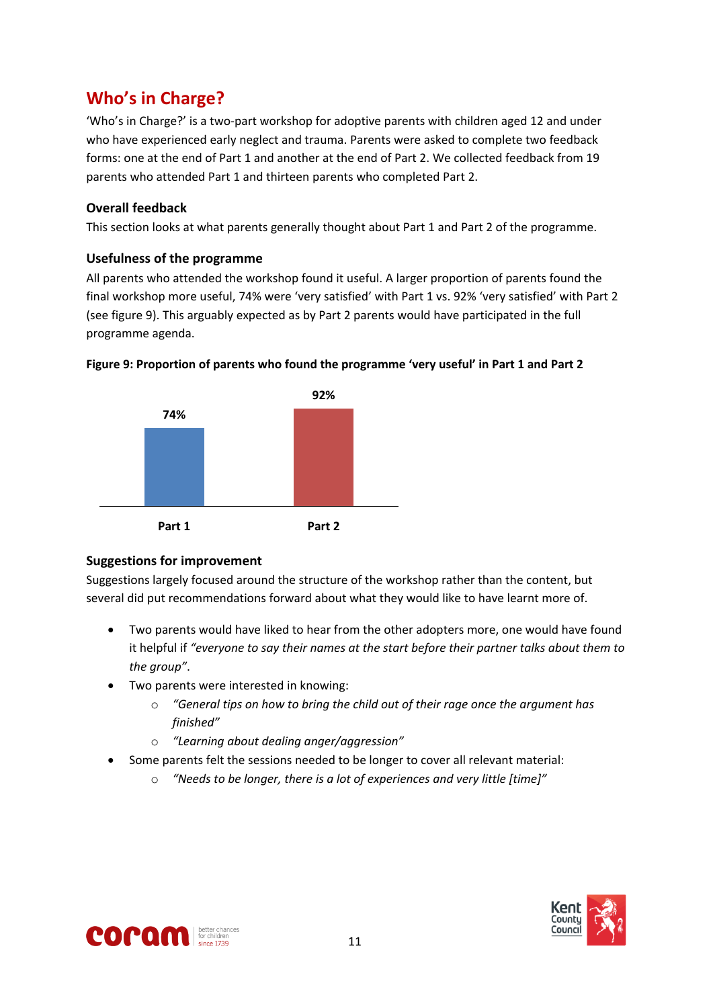# <span id="page-10-0"></span>**Who's in Charge?**

'Who's in Charge?' is a two-part workshop for adoptive parents with children aged 12 and under who have experienced early neglect and trauma. Parents were asked to complete two feedback forms: one at the end of Part 1 and another at the end of Part 2. We collected feedback from 19 parents who attended Part 1 and thirteen parents who completed Part 2.

#### **Overall feedback**

This section looks at what parents generally thought about Part 1 and Part 2 of the programme.

#### **Usefulness of the programme**

All parents who attended the workshop found it useful. A larger proportion of parents found the final workshop more useful, 74% were 'very satisfied' with Part 1 vs. 92% 'very satisfied' with Part 2 (see figure 9). This arguably expected as by Part 2 parents would have participated in the full programme agenda.





#### **Suggestions for improvement**

Suggestions largely focused around the structure of the workshop rather than the content, but several did put recommendations forward about what they would like to have learnt more of.

- Two parents would have liked to hear from the other adopters more, one would have found it helpful if *"everyone to say their names at the start before their partner talks about them to the group"*.
- Two parents were interested in knowing:
	- o *"General tips on how to bring the child out of their rage once the argument has finished"*
	- o *"Learning about dealing anger/aggression"*
- Some parents felt the sessions needed to be longer to cover all relevant material:
	- o *"Needs to be longer, there is a lot of experiences and very little [time]"*



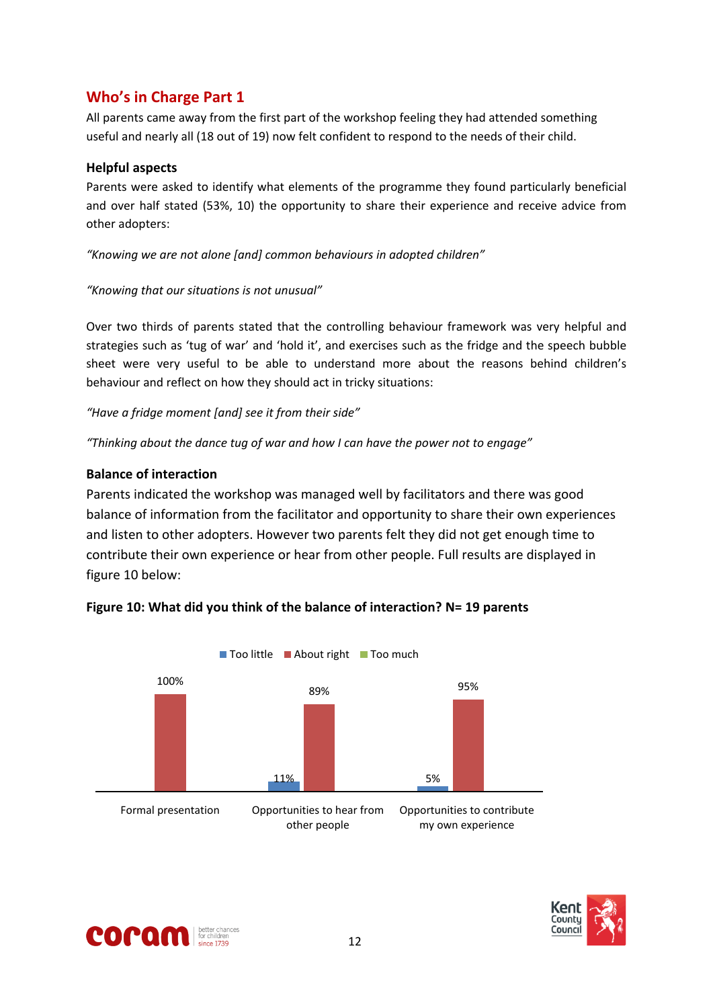### <span id="page-11-0"></span>**Who's in Charge Part 1**

All parents came away from the first part of the workshop feeling they had attended something useful and nearly all (18 out of 19) now felt confident to respond to the needs of their child.

#### **Helpful aspects**

Parents were asked to identify what elements of the programme they found particularly beneficial and over half stated (53%, 10) the opportunity to share their experience and receive advice from other adopters:

*"Knowing we are not alone [and] common behaviours in adopted children"*

#### *"Knowing that our situations is not unusual"*

Over two thirds of parents stated that the controlling behaviour framework was very helpful and strategies such as 'tug of war' and 'hold it', and exercises such as the fridge and the speech bubble sheet were very useful to be able to understand more about the reasons behind children's behaviour and reflect on how they should act in tricky situations:

*"Have a fridge moment [and] see it from their side"*

*"Thinking about the dance tug of war and how I can have the power not to engage"*

#### **Balance of interaction**

Parents indicated the workshop was managed well by facilitators and there was good balance of information from the facilitator and opportunity to share their own experiences and listen to other adopters. However two parents felt they did not get enough time to contribute their own experience or hear from other people. Full results are displayed in figure 10 below:



#### **Figure 10: What did you think of the balance of interaction? N= 19 parents**



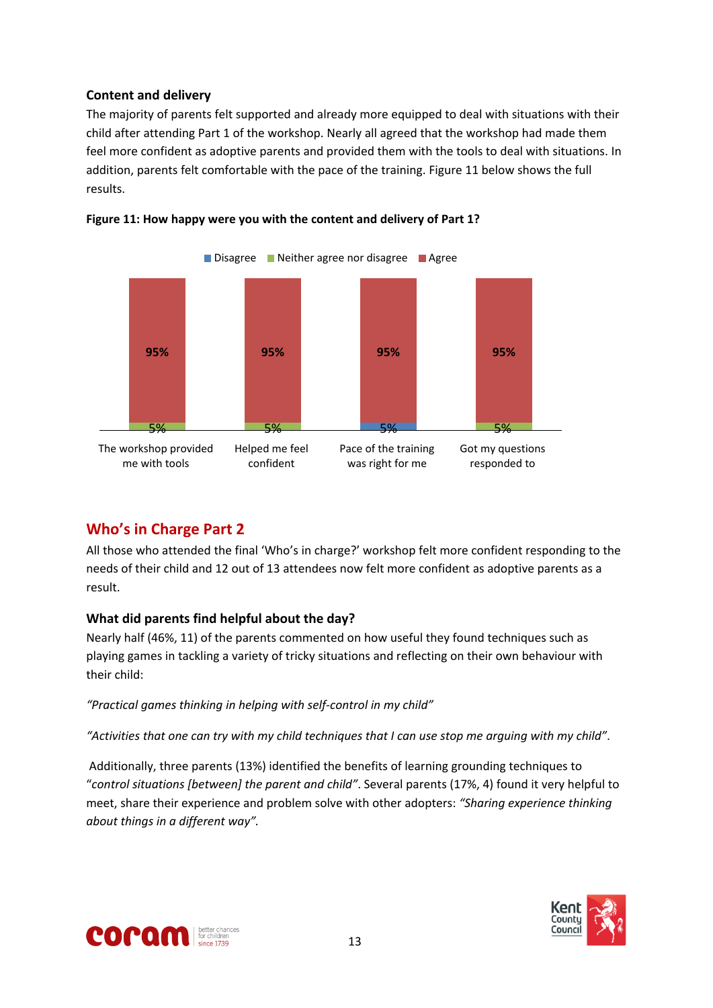#### **Content and delivery**

The majority of parents felt supported and already more equipped to deal with situations with their child after attending Part 1 of the workshop. Nearly all agreed that the workshop had made them feel more confident as adoptive parents and provided them with the tools to deal with situations. In addition, parents felt comfortable with the pace of the training. Figure 11 below shows the full results.





#### <span id="page-12-0"></span>**Who's in Charge Part 2**

All those who attended the final 'Who's in charge?' workshop felt more confident responding to the needs of their child and 12 out of 13 attendees now felt more confident as adoptive parents as a result.

#### **What did parents find helpful about the day?**

Nearly half (46%, 11) of the parents commented on how useful they found techniques such as playing games in tackling a variety of tricky situations and reflecting on their own behaviour with their child:

*"Practical games thinking in helping with self-control in my child"*

"Activities that one can try with my child techniques that I can use stop me arquing with my child".

Additionally, three parents (13%) identified the benefits of learning grounding techniques to "*control situations [between] the parent and child"*. Several parents (17%, 4) found it very helpful to meet, share their experience and problem solve with other adopters: *"Sharing experience thinking about things in a different way".*



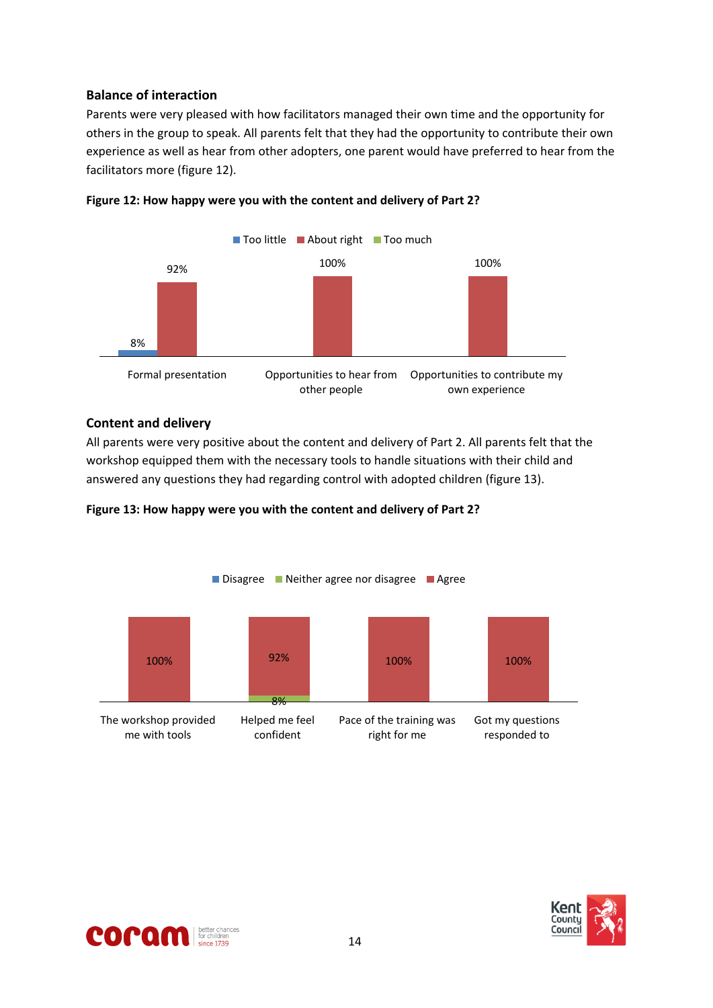#### **Balance of interaction**

Parents were very pleased with how facilitators managed their own time and the opportunity for others in the group to speak. All parents felt that they had the opportunity to contribute their own experience as well as hear from other adopters, one parent would have preferred to hear from the facilitators more (figure 12).





#### **Content and delivery**

All parents were very positive about the content and delivery of Part 2. All parents felt that the workshop equipped them with the necessary tools to handle situations with their child and answered any questions they had regarding control with adopted children (figure 13).





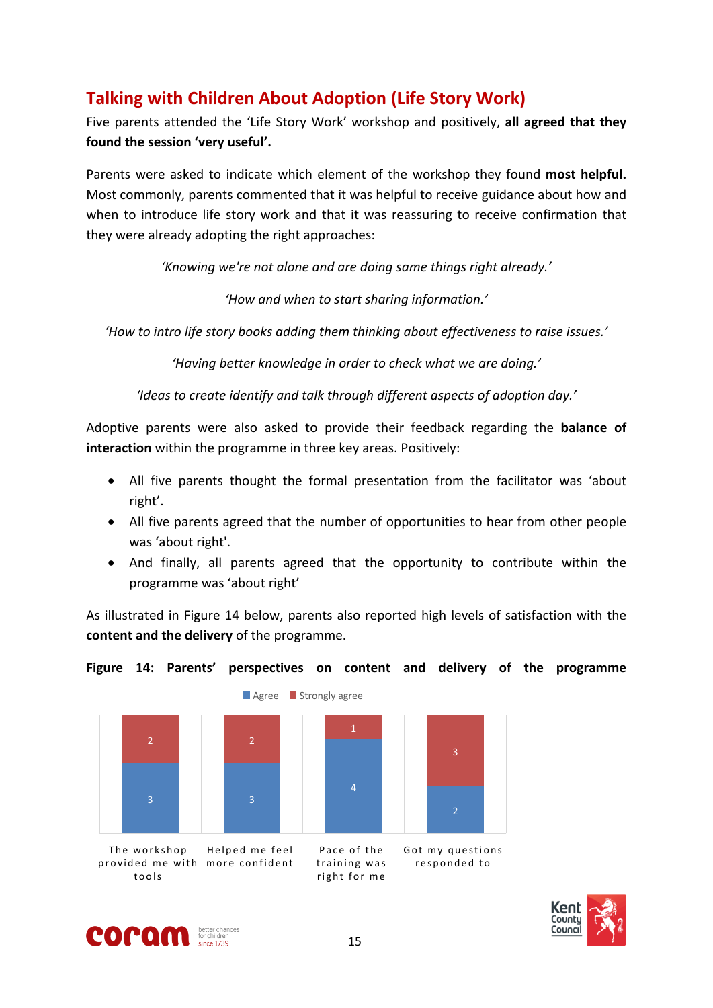# <span id="page-14-0"></span>**Talking with Children About Adoption (Life Story Work)**

Five parents attended the 'Life Story Work' workshop and positively, **all agreed that they found the session 'very useful'.**

Parents were asked to indicate which element of the workshop they found **most helpful.** Most commonly, parents commented that it was helpful to receive guidance about how and when to introduce life story work and that it was reassuring to receive confirmation that they were already adopting the right approaches:

*'Knowing we're not alone and are doing same things right already.'*

*'How and when to start sharing information.'*

*'How to intro life story books adding them thinking about effectiveness to raise issues.'*

*'Having better knowledge in order to check what we are doing.'*

*'Ideas to create identify and talk through different aspects of adoption day.'*

Adoptive parents were also asked to provide their feedback regarding the **balance of interaction** within the programme in three key areas. Positively:

- All five parents thought the formal presentation from the facilitator was 'about right'.
- All five parents agreed that the number of opportunities to hear from other people was 'about right'.
- And finally, all parents agreed that the opportunity to contribute within the programme was 'about right'

As illustrated in Figure 14 below, parents also reported high levels of satisfaction with the **content and the delivery** of the programme.

#### **Figure 14: Parents' perspectives on content and delivery of the programme**





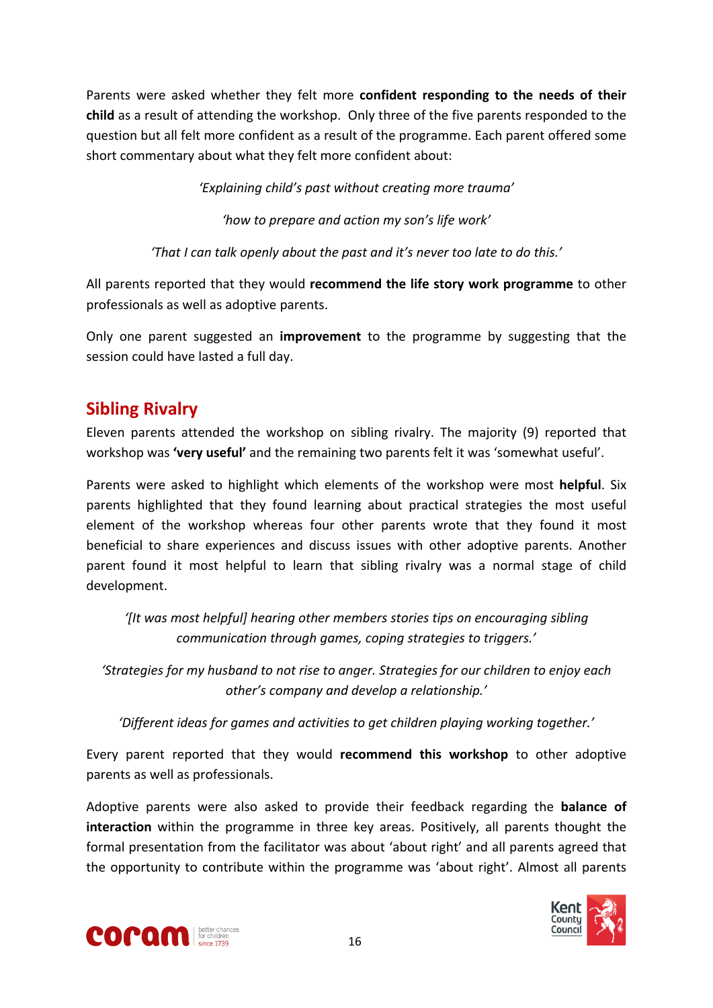Parents were asked whether they felt more **confident responding to the needs of their child** as a result of attending the workshop. Only three of the five parents responded to the question but all felt more confident as a result of the programme. Each parent offered some short commentary about what they felt more confident about:

*'Explaining child's past without creating more trauma'*

*'how to prepare and action my son's life work'*

*'That I can talk openly about the past and it's never too late to do this.'*

All parents reported that they would **recommend the life story work programme** to other professionals as well as adoptive parents.

Only one parent suggested an **improvement** to the programme by suggesting that the session could have lasted a full day.

# <span id="page-15-0"></span>**Sibling Rivalry**

Eleven parents attended the workshop on sibling rivalry. The majority (9) reported that workshop was **'very useful'** and the remaining two parents felt it was 'somewhat useful'.

Parents were asked to highlight which elements of the workshop were most **helpful**. Six parents highlighted that they found learning about practical strategies the most useful element of the workshop whereas four other parents wrote that they found it most beneficial to share experiences and discuss issues with other adoptive parents. Another parent found it most helpful to learn that sibling rivalry was a normal stage of child development.

*'[It was most helpful] hearing other members stories tips on encouraging sibling communication through games, coping strategies to triggers.'*

*'Strategies for my husband to not rise to anger. Strategies for our children to enjoy each other's company and develop a relationship.'*

*'Different ideas for games and activities to get children playing working together.'*

Every parent reported that they would **recommend this workshop** to other adoptive parents as well as professionals.

Adoptive parents were also asked to provide their feedback regarding the **balance of interaction** within the programme in three key areas. Positively, all parents thought the formal presentation from the facilitator was about 'about right' and all parents agreed that the opportunity to contribute within the programme was 'about right'. Almost all parents



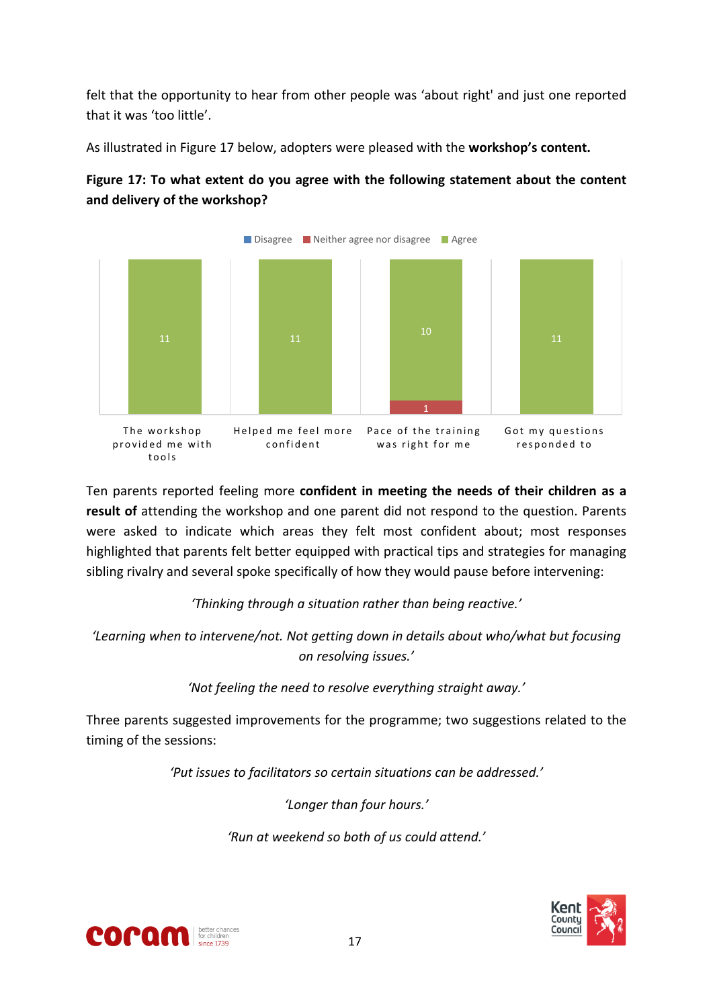felt that the opportunity to hear from other people was 'about right' and just one reported that it was 'too little'.

As illustrated in Figure 17 below, adopters were pleased with the **workshop's content.**





Ten parents reported feeling more **confident in meeting the needs of their children as a result of** attending the workshop and one parent did not respond to the question. Parents were asked to indicate which areas they felt most confident about; most responses highlighted that parents felt better equipped with practical tips and strategies for managing sibling rivalry and several spoke specifically of how they would pause before intervening:

*'Thinking through a situation rather than being reactive.'*

*'Learning when to intervene/not. Not getting down in details about who/what but focusing on resolving issues.'*

*'Not feeling the need to resolve everything straight away.'*

Three parents suggested improvements for the programme; two suggestions related to the timing of the sessions:

*'Put issues to facilitators so certain situations can be addressed.'*

*'Longer than four hours.'*

*'Run at weekend so both of us could attend.'*



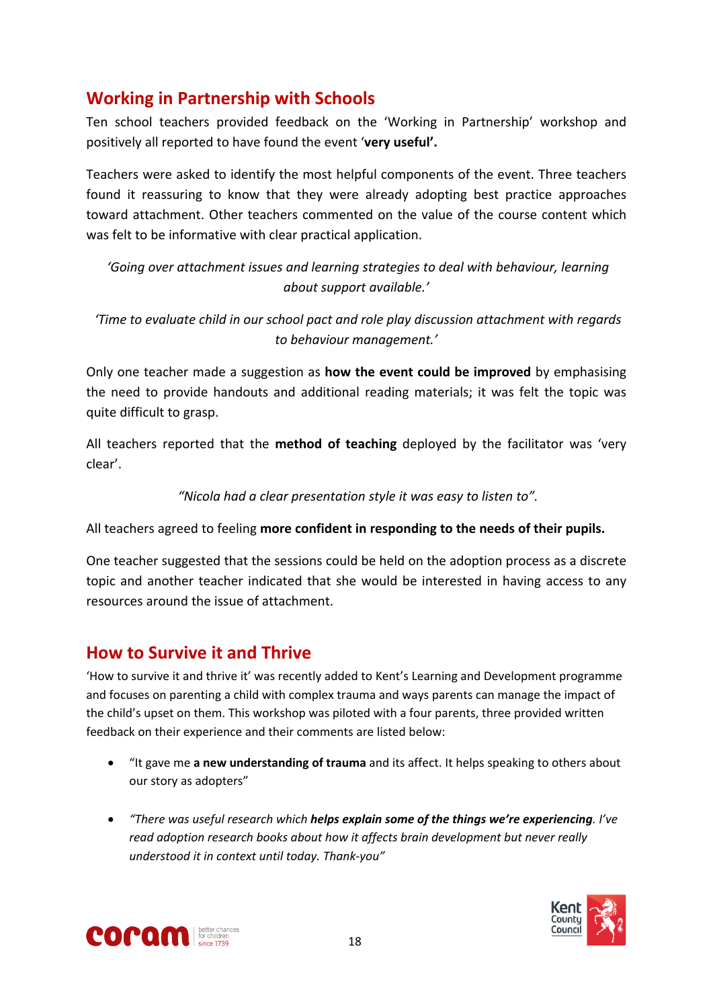# <span id="page-17-0"></span>**Working in Partnership with Schools**

Ten school teachers provided feedback on the 'Working in Partnership' workshop and positively all reported to have found the event '**very useful'.**

Teachers were asked to identify the most helpful components of the event. Three teachers found it reassuring to know that they were already adopting best practice approaches toward attachment. Other teachers commented on the value of the course content which was felt to be informative with clear practical application.

*'Going over attachment issues and learning strategies to deal with behaviour, learning about support available.'*

*'Time to evaluate child in our school pact and role play discussion attachment with regards to behaviour management.'*

Only one teacher made a suggestion as **how the event could be improved** by emphasising the need to provide handouts and additional reading materials; it was felt the topic was quite difficult to grasp.

All teachers reported that the **method of teaching** deployed by the facilitator was 'very clear'.

*"Nicola had a clear presentation style it was easy to listen to".*

All teachers agreed to feeling **more confident in responding to the needs of their pupils.**

One teacher suggested that the sessions could be held on the adoption process as a discrete topic and another teacher indicated that she would be interested in having access to any resources around the issue of attachment.

## <span id="page-17-1"></span>**How to Survive it and Thrive**

'How to survive it and thrive it' was recently added to Kent's Learning and Development programme and focuses on parenting a child with complex trauma and ways parents can manage the impact of the child's upset on them. This workshop was piloted with a four parents, three provided written feedback on their experience and their comments are listed below:

- "It gave me **a new understanding of trauma** and its affect. It helps speaking to others about our story as adopters"
- *"There was useful research which helps explain some of the things we're experiencing. I've read adoption research books about how it affects brain development but never really understood it in context until today. Thank-you"*



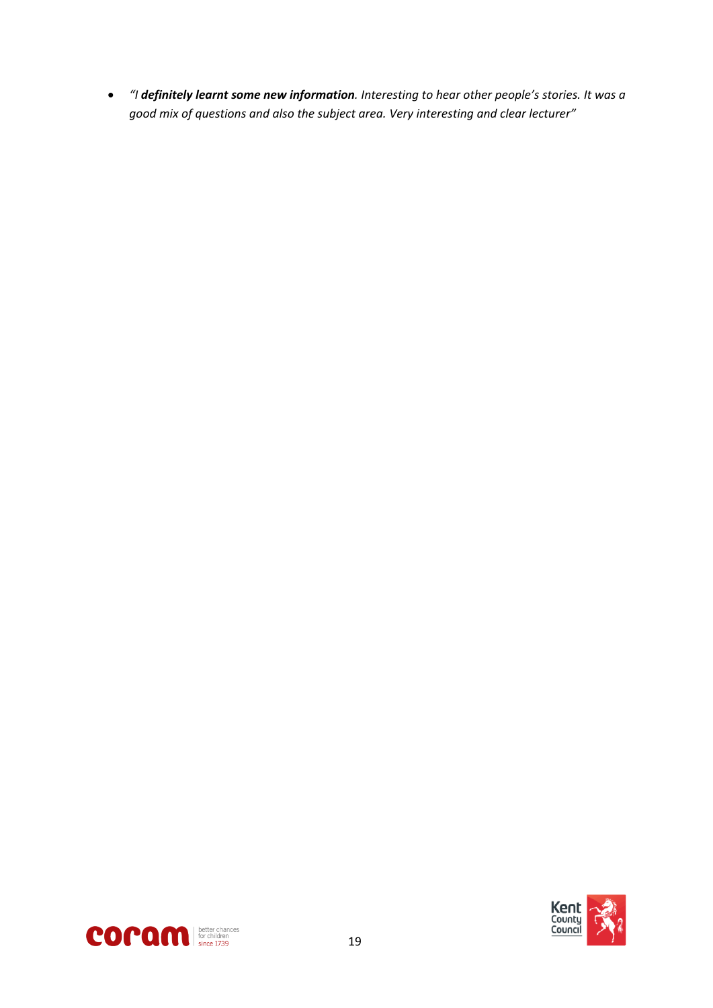*"I definitely learnt some new information. Interesting to hear other people's stories. It was a good mix of questions and also the subject area. Very interesting and clear lecturer"*



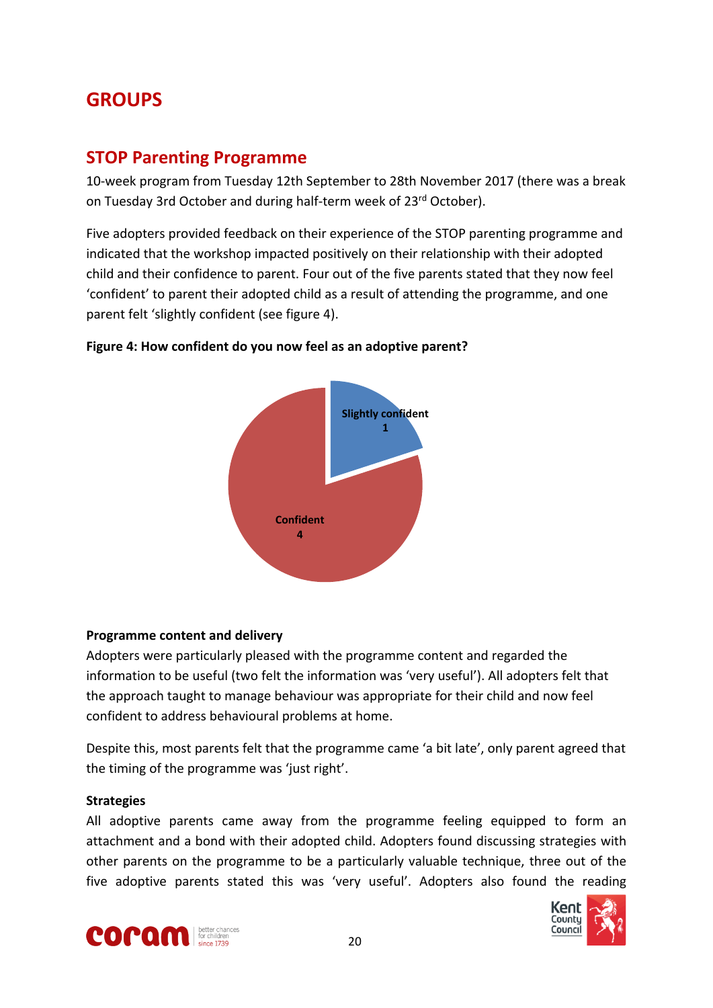# <span id="page-19-1"></span><span id="page-19-0"></span>**GROUPS**

### **STOP Parenting Programme**

10-week program from Tuesday 12th September to 28th November 2017 (there was a break on Tuesday 3rd October and during half-term week of 23rd October).

Five adopters provided feedback on their experience of the STOP parenting programme and indicated that the workshop impacted positively on their relationship with their adopted child and their confidence to parent. Four out of the five parents stated that they now feel 'confident' to parent their adopted child as a result of attending the programme, and one parent felt 'slightly confident (see figure 4).



#### **Figure 4: How confident do you now feel as an adoptive parent?**

#### **Programme content and delivery**

Adopters were particularly pleased with the programme content and regarded the information to be useful (two felt the information was 'very useful'). All adopters felt that the approach taught to manage behaviour was appropriate for their child and now feel confident to address behavioural problems at home.

Despite this, most parents felt that the programme came 'a bit late', only parent agreed that the timing of the programme was 'just right'.

#### **Strategies**

All adoptive parents came away from the programme feeling equipped to form an attachment and a bond with their adopted child. Adopters found discussing strategies with other parents on the programme to be a particularly valuable technique, three out of the five adoptive parents stated this was 'very useful'. Adopters also found the reading



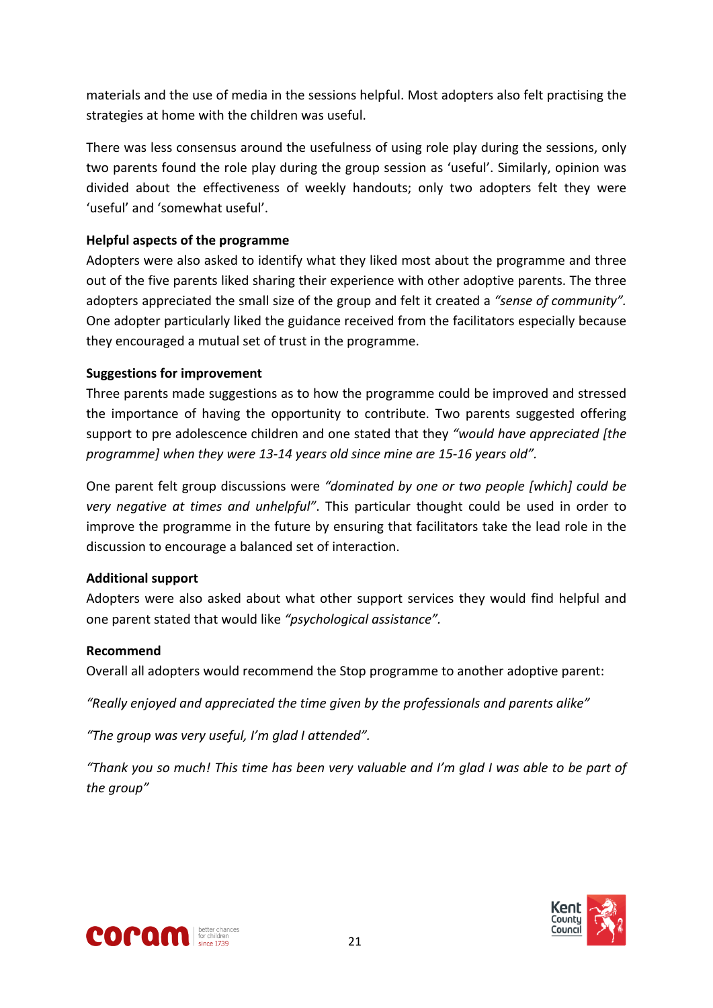materials and the use of media in the sessions helpful. Most adopters also felt practising the strategies at home with the children was useful.

There was less consensus around the usefulness of using role play during the sessions, only two parents found the role play during the group session as 'useful'. Similarly, opinion was divided about the effectiveness of weekly handouts; only two adopters felt they were 'useful' and 'somewhat useful'.

#### **Helpful aspects of the programme**

Adopters were also asked to identify what they liked most about the programme and three out of the five parents liked sharing their experience with other adoptive parents. The three adopters appreciated the small size of the group and felt it created a *"sense of community".* One adopter particularly liked the guidance received from the facilitators especially because they encouraged a mutual set of trust in the programme.

#### **Suggestions for improvement**

Three parents made suggestions as to how the programme could be improved and stressed the importance of having the opportunity to contribute. Two parents suggested offering support to pre adolescence children and one stated that they *"would have appreciated [the programme] when they were 13-14 years old since mine are 15-16 years old".*

One parent felt group discussions were *"dominated by one or two people [which] could be very negative at times and unhelpful"*. This particular thought could be used in order to improve the programme in the future by ensuring that facilitators take the lead role in the discussion to encourage a balanced set of interaction.

#### **Additional support**

Adopters were also asked about what other support services they would find helpful and one parent stated that would like *"psychological assistance".*

#### **Recommend**

Overall all adopters would recommend the Stop programme to another adoptive parent:

*"Really enjoyed and appreciated the time given by the professionals and parents alike"*

*"The group was very useful, I'm glad I attended".*

"Thank you so much! This time has been very valuable and I'm alad I was able to be part of *the group"*



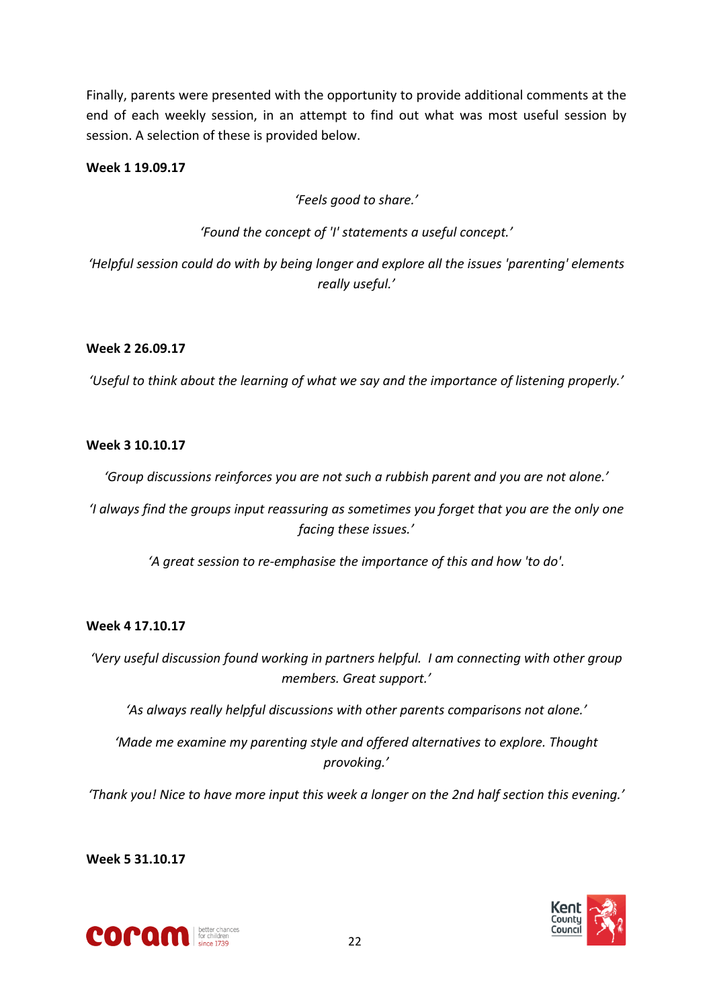Finally, parents were presented with the opportunity to provide additional comments at the end of each weekly session, in an attempt to find out what was most useful session by session. A selection of these is provided below.

#### **Week 1 19.09.17**

*'Feels good to share.'*

*'Found the concept of 'I' statements a useful concept.'*

*'Helpful session could do with by being longer and explore all the issues 'parenting' elements really useful.'*

#### **Week 2 26.09.17**

*'Useful to think about the learning of what we say and the importance of listening properly.'*

#### **Week 3 10.10.17**

*'Group discussions reinforces you are not such a rubbish parent and you are not alone.'*

*'I always find the groups input reassuring as sometimes you forget that you are the only one facing these issues.'*

*'A great session to re-emphasise the importance of this and how 'to do'.*

#### **Week 4 17.10.17**

*'Very useful discussion found working in partners helpful. I am connecting with other group members. Great support.'*

*'As always really helpful discussions with other parents comparisons not alone.'*

*'Made me examine my parenting style and offered alternatives to explore. Thought provoking.'*

*'Thank you! Nice to have more input this week a longer on the 2nd half section this evening.'*

**Week 5 31.10.17**



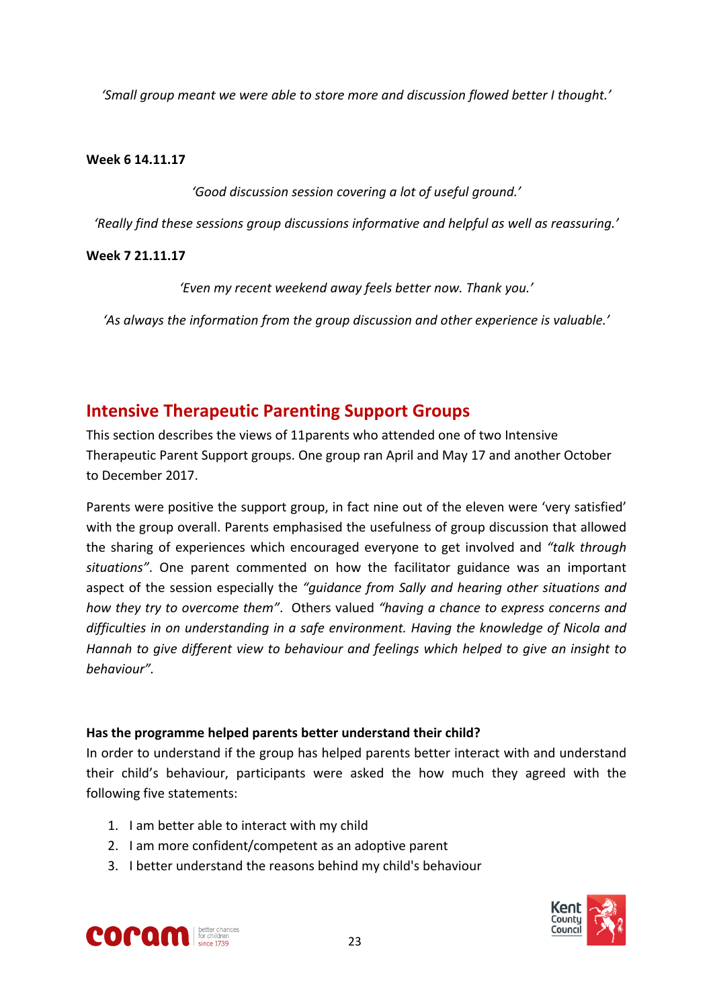*'Small group meant we were able to store more and discussion flowed better I thought.'*

#### **Week 6 14.11.17**

*'Good discussion session covering a lot of useful ground.'*

*'Really find these sessions group discussions informative and helpful as well as reassuring.'*

#### **Week 7 21.11.17**

*'Even my recent weekend away feels better now. Thank you.'*

*'As always the information from the group discussion and other experience is valuable.'*

# <span id="page-22-0"></span>**Intensive Therapeutic Parenting Support Groups**

This section describes the views of 11parents who attended one of two Intensive Therapeutic Parent Support groups. One group ran April and May 17 and another October to December 2017.

Parents were positive the support group, in fact nine out of the eleven were 'very satisfied' with the group overall. Parents emphasised the usefulness of group discussion that allowed the sharing of experiences which encouraged everyone to get involved and *"talk through situations"*. One parent commented on how the facilitator guidance was an important aspect of the session especially the *"guidance from Sally and hearing other situations and how they try to overcome them"*. Others valued *"having a chance to express concerns and difficulties in on understanding in a safe environment. Having the knowledge of Nicola and Hannah to give different view to behaviour and feelings which helped to give an insight to behaviour".*

#### **Has the programme helped parents better understand their child?**

In order to understand if the group has helped parents better interact with and understand their child's behaviour, participants were asked the how much they agreed with the following five statements:

- 1. I am better able to interact with my child
- 2. I am more confident/competent as an adoptive parent
- 3. I better understand the reasons behind my child's behaviour



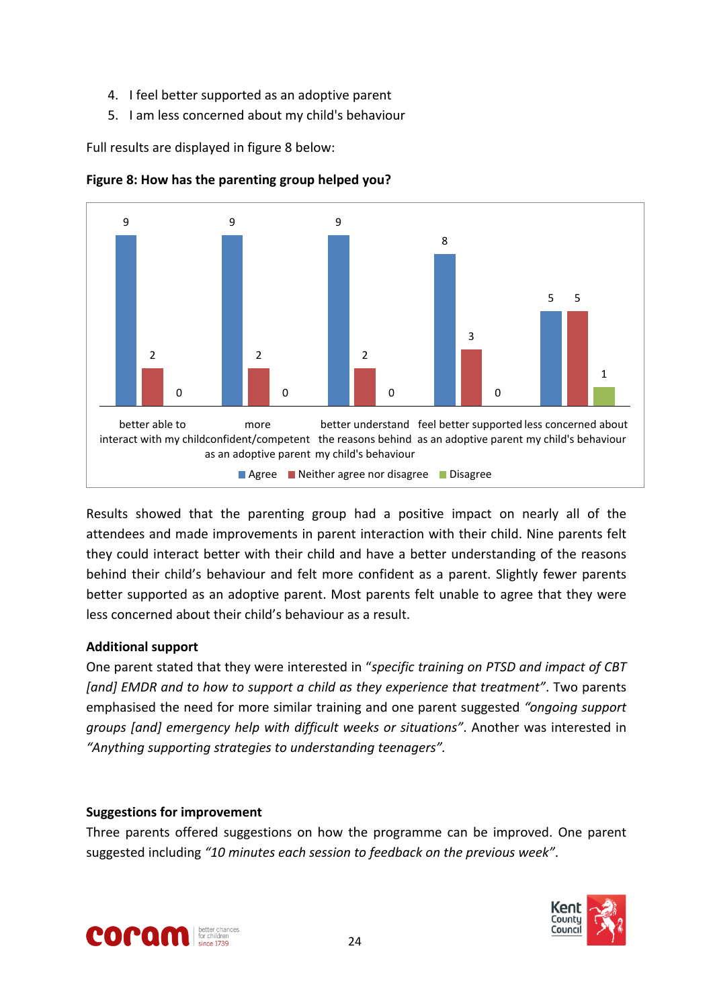- 4. I feel better supported as an adoptive parent
- 5. I am less concerned about my child's behaviour

Full results are displayed in figure 8 below:





Results showed that the parenting group had a positive impact on nearly all of the attendees and made improvements in parent interaction with their child. Nine parents felt they could interact better with their child and have a better understanding of the reasons behind their child's behaviour and felt more confident as a parent. Slightly fewer parents better supported as an adoptive parent. Most parents felt unable to agree that they were less concerned about their child's behaviour as a result.

#### **Additional support**

One parent stated that they were interested in "*specific training on PTSD and impact of CBT [and] EMDR and to how to support a child as they experience that treatment"*. Two parents emphasised the need for more similar training and one parent suggested *"ongoing support groups [and] emergency help with difficult weeks or situations"*. Another was interested in *"Anything supporting strategies to understanding teenagers".*

#### **Suggestions for improvement**

Three parents offered suggestions on how the programme can be improved. One parent suggested including *"10 minutes each session to feedback on the previous week"*.



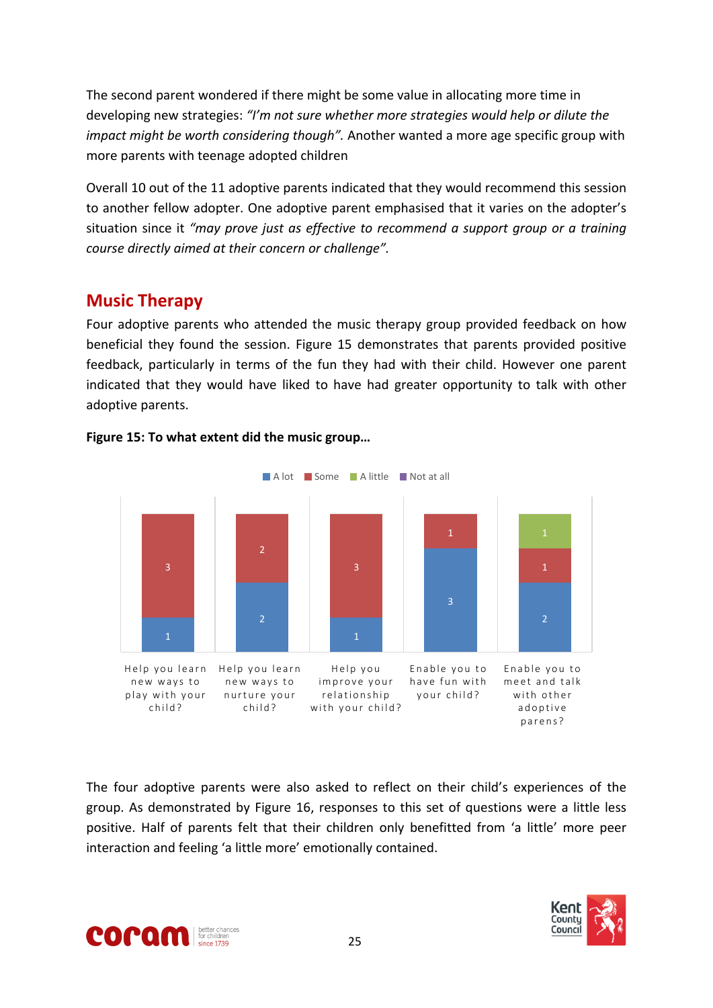The second parent wondered if there might be some value in allocating more time in developing new strategies: *"I'm not sure whether more strategies would help or dilute the impact might be worth considering though".* Another wanted a more age specific group with more parents with teenage adopted children

Overall 10 out of the 11 adoptive parents indicated that they would recommend this session to another fellow adopter. One adoptive parent emphasised that it varies on the adopter's situation since it *"may prove just as effective to recommend a support group or a training course directly aimed at their concern or challenge".*

## <span id="page-24-0"></span>**Music Therapy**

Four adoptive parents who attended the music therapy group provided feedback on how beneficial they found the session. Figure 15 demonstrates that parents provided positive feedback, particularly in terms of the fun they had with their child. However one parent indicated that they would have liked to have had greater opportunity to talk with other adoptive parents.



#### **Figure 15: To what extent did the music group…**

The four adoptive parents were also asked to reflect on their child's experiences of the group. As demonstrated by Figure 16, responses to this set of questions were a little less positive. Half of parents felt that their children only benefitted from 'a little' more peer interaction and feeling 'a little more' emotionally contained.